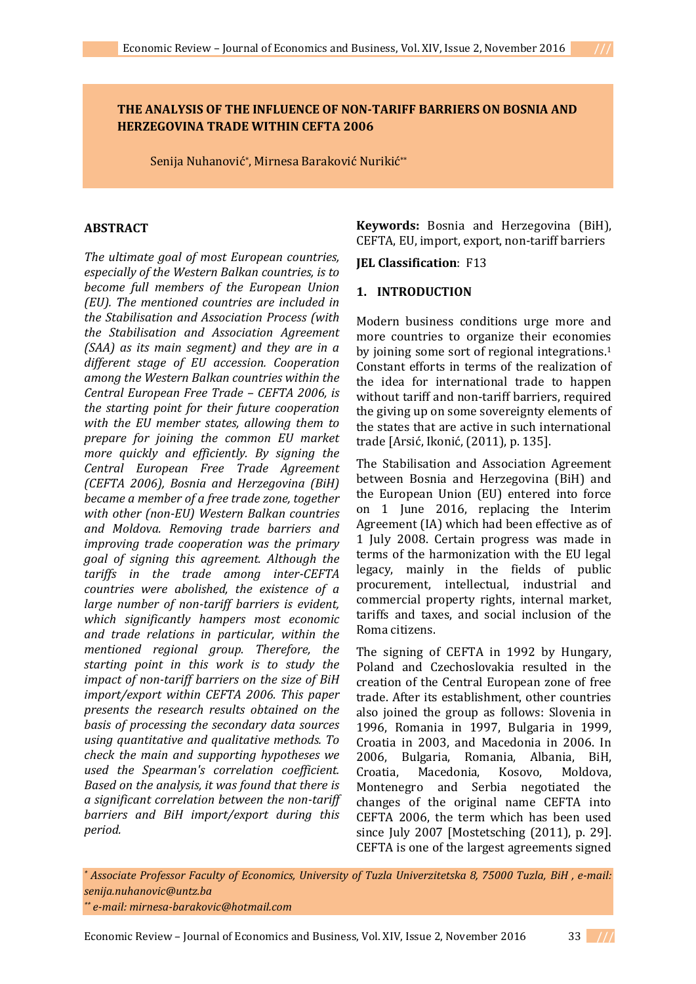# **THE ANALYSIS OF THE INFLUENCE OF NON-TARIFF BARRIERS ON BOSNIA AND HERZEGOVINA TRADE WITHIN CEFTA 2006**

Senija Nuhanović\* , Mirnesa Baraković Nurikić\*\*

### **ABSTRACT**

*The ultimate goal of most European countries, especially of the Western Balkan countries, is to become full members of the European Union (EU). The mentioned countries are included in the Stabilisation and Association Process (with the Stabilisation and Association Agreement (SAA) as its main segment) and they are in a different stage of EU accession. Cooperation among the Western Balkan countries within the Central European Free Trade – CEFTA 2006, is the starting point for their future cooperation with the EU member states, allowing them to prepare for joining the common EU market more quickly and efficiently. By signing the Central European Free Trade Agreement (CEFTA 2006), Bosnia and Herzegovina (BiH) became a member of a free trade zone, together with other (non-EU) Western Balkan countries and Moldova. Removing trade barriers and improving trade cooperation was the primary goal of signing this agreement. Although the tariffs in the trade among inter-CEFTA countries were abolished, the existence of a large number of non-tariff barriers is evident, which significantly hampers most economic and trade relations in particular, within the mentioned regional group. Therefore, the starting point in this work is to study the impact of non-tariff barriers on the size of BiH import/export within CEFTA 2006. This paper presents the research results obtained on the basis of processing the secondary data sources using quantitative and qualitative methods. To check the main and supporting hypotheses we used the Spearman's correlation coefficient. Based on the analysis, it was found that there is a significant correlation between the non-tariff barriers and BiH import/export during this period.*

**Keywords:** Bosnia and Herzegovina (BiH), CEFTA, EU, import, export, non-tariff barriers

**JEL Classification**: F13

# **1. INTRODUCTION**

Modern business conditions urge more and more countries to organize their economies by joining some sort of regional integrations.<sup>1</sup> Constant efforts in terms of the realization of the idea for international trade to happen without tariff and non-tariff barriers, required the giving up on some sovereignty elements of the states that are active in such international trade [Arsić, Ikonić, (2011), p. 135].

The Stabilisation and Association Agreement between Bosnia and Herzegovina (BiH) and the European Union (EU) entered into force on 1 June 2016, replacing the Interim Agreement (IA) which had been effective as of 1 July 2008. Certain progress was made in terms of the harmonization with the EU legal legacy, mainly in the fields of public procurement, intellectual, industrial and commercial property rights, internal market, tariffs and taxes, and social inclusion of the Roma citizens.

The signing of CEFTA in 1992 by Hungary, Poland and Czechoslovakia resulted in the creation of the Central European zone of free trade. After its establishment, other countries also joined the group as follows: Slovenia in 1996, Romania in 1997, Bulgaria in 1999, Croatia in 2003, and Macedonia in 2006. In 2006, Bulgaria, Romania, Albania, BiH, Croatia, Macedonia, Kosovo, Moldova, Montenegro and Serbia negotiated the changes of the original name CEFTA into CEFTA 2006, the term which has been used since July 2007 [Mostetsching (2011), p. 29]. CEFTA is one of the largest agreements signed

*\* Associate Professor Faculty of Economics, University of Tuzla Univerzitetska 8, 75000 Tuzla, BiH , e-mail: senija.nuhanovic@untz.ba \*\* e-mail: mirnesa-barakovic@hotmail.com*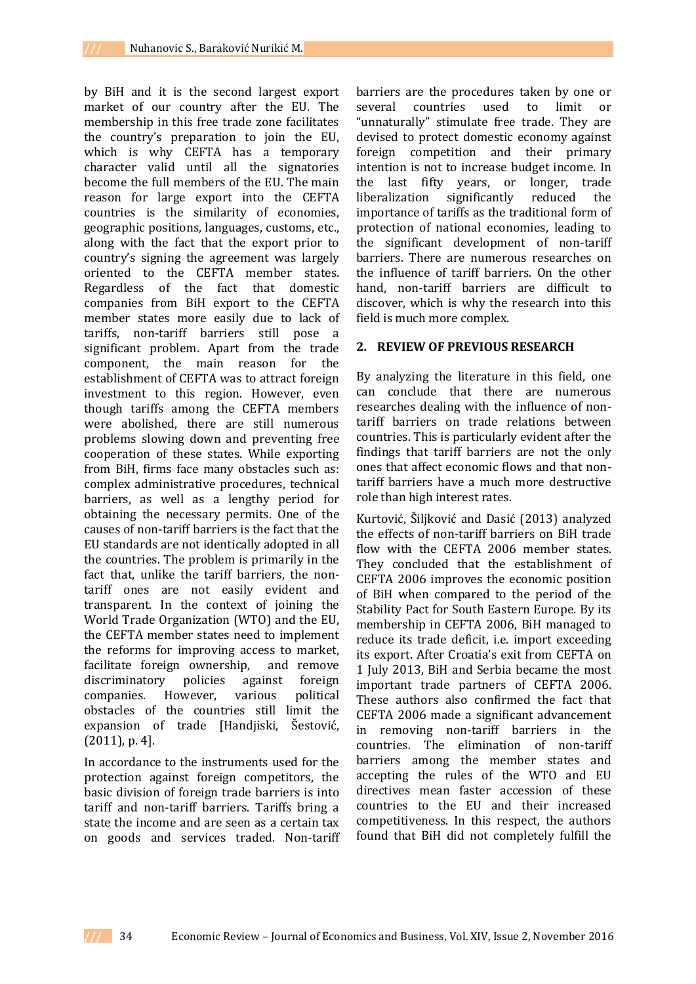by BiH and it is the second largest export market of our country after the EU. The membership in this free trade zone facilitates the country's preparation to join the EU, which is why CEFTA has a temporary character valid until all the signatories become the full members of the EU. The main reason for large export into the CEFTA countries is the similarity of economies, geographic positions, languages, customs, etc., along with the fact that the export prior to country's signing the agreement was largely oriented to the CEFTA member states. Regardless of the fact that domestic companies from BiH export to the CEFTA member states more easily due to lack of tariffs, non-tariff barriers still pose a significant problem. Apart from the trade component, the main reason for the establishment of CEFTA was to attract foreign investment to this region. However, even though tariffs among the CEFTA members were abolished, there are still numerous problems slowing down and preventing free cooperation of these states. While exporting from BiH, firms face many obstacles such as: complex administrative procedures, technical barriers, as well as a lengthy period for obtaining the necessary permits. One of the causes of non-tariff barriers is the fact that the EU standards are not identically adopted in all the countries. The problem is primarily in the fact that, unlike the tariff barriers, the nontariff ones are not easily evident and transparent. In the context of joining the World Trade Organization (WTO) and the EU, the CEFTA member states need to implement the reforms for improving access to market, facilitate foreign ownership, and remove discriminatory policies against foreign companies. However, various political obstacles of the countries still limit the expansion of trade [Handjiski, Šestović, (2011), p. 4].

In accordance to the instruments used for the protection against foreign competitors, the basic division of foreign trade barriers is into tariff and non-tariff barriers. Tariffs bring a state the income and are seen as a certain tax on goods and services traded. Non-tariff

barriers are the procedures taken by one or several countries used to limit or "unnaturally" stimulate free trade. They are devised to protect domestic economy against foreign competition and their primary intention is not to increase budget income. In the last fifty years, or longer, trade liberalization significantly reduced the importance of tariffs as the traditional form of protection of national economies, leading to the significant development of non-tariff barriers. There are numerous researches on the influence of tariff barriers. On the other hand, non-tariff barriers are difficult to discover, which is why the research into this field is much more complex.

### **2. REVIEW OF PREVIOUS RESEARCH**

By analyzing the literature in this field, one can conclude that there are numerous researches dealing with the influence of nontariff barriers on trade relations between countries. This is particularly evident after the findings that tariff barriers are not the only ones that affect economic flows and that nontariff barriers have a much more destructive role than high interest rates.

Kurtović, Šiljković and Dasić (2013) analyzed the effects of non-tariff barriers on BiH trade flow with the CEFTA 2006 member states. They concluded that the establishment of CEFTA 2006 improves the economic position of BiH when compared to the period of the Stability Pact for South Eastern Europe. By its membership in CEFTA 2006, BiH managed to reduce its trade deficit, i.e. import exceeding its export. After Croatia's exit from CEFTA on 1 July 2013, BiH and Serbia became the most important trade partners of CEFTA 2006. These authors also confirmed the fact that CEFTA 2006 made a significant advancement in removing non-tariff barriers in the countries. The elimination of non-tariff barriers among the member states and accepting the rules of the WTO and EU directives mean faster accession of these countries to the EU and their increased competitiveness. In this respect, the authors found that BiH did not completely fulfill the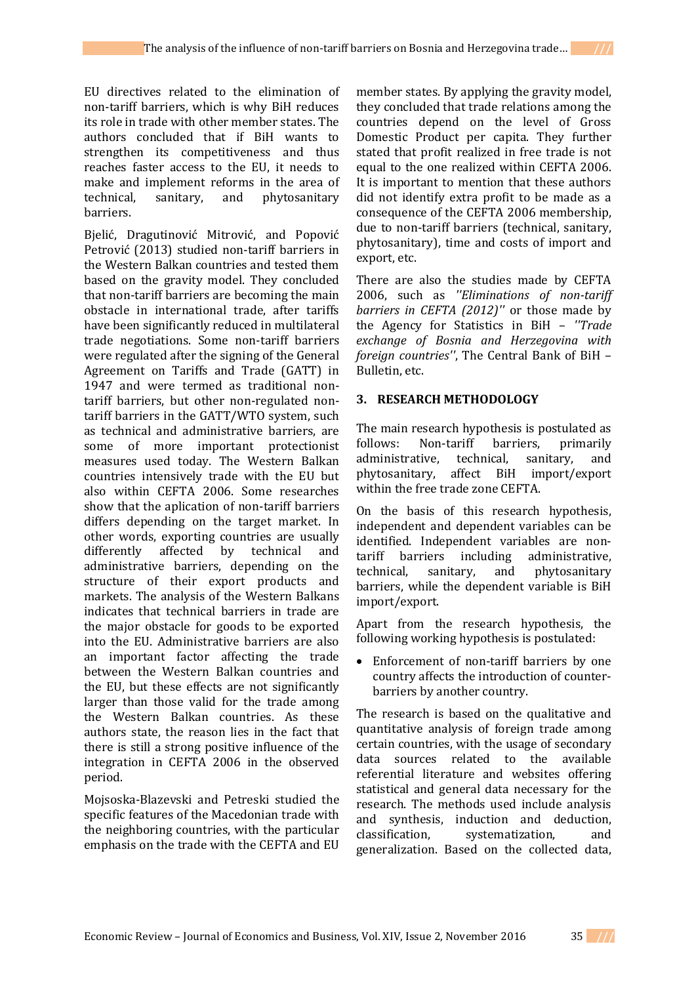EU directives related to the elimination of non-tariff barriers, which is why BiH reduces its role in trade with other member states. The authors concluded that if BiH wants to strengthen its competitiveness and thus reaches faster access to the EU, it needs to make and implement reforms in the area of technical, sanitary, and phytosanitary barriers.

Bjelić, Dragutinović Mitrović, and Popović Petrović (2013) studied non-tariff barriers in the Western Balkan countries and tested them based on the gravity model. They concluded that non-tariff barriers are becoming the main obstacle in international trade, after tariffs have been significantly reduced in multilateral trade negotiations. Some non-tariff barriers were regulated after the signing of the General Agreement on Tariffs and Trade (GATT) in 1947 and were termed as traditional nontariff barriers, but other non-regulated nontariff barriers in the GATT/WTO system, such as technical and administrative barriers, are some of more important protectionist measures used today. The Western Balkan countries intensively trade with the EU but also within CEFTA 2006. Some researches show that the aplication of non-tariff barriers differs depending on the target market. In other words, exporting countries are usually differently affected by technical and administrative barriers, depending on the structure of their export products and markets. The analysis of the Western Balkans indicates that technical barriers in trade are the major obstacle for goods to be exported into the EU. Administrative barriers are also an important factor affecting the trade between the Western Balkan countries and the EU, but these effects are not significantly larger than those valid for the trade among the Western Balkan countries. As these authors state, the reason lies in the fact that there is still a strong positive influence of the integration in CEFTA 2006 in the observed period.

Mojsoska-Blazevski and Petreski studied the specific features of the Macedonian trade with the neighboring countries, with the particular emphasis on the trade with the CEFTA and EU

member states. By applying the gravity model, they concluded that trade relations among the countries depend on the level of Gross Domestic Product per capita. They further stated that profit realized in free trade is not equal to the one realized within CEFTA 2006. It is important to mention that these authors did not identify extra profit to be made as a consequence of the CEFTA 2006 membership, due to non-tariff barriers (technical, sanitary, phytosanitary), time and costs of import and export, etc.

There are also the studies made by CEFTA 2006, such as *''Eliminations of non-tariff barriers in CEFTA (2012)''* or those made by the Agency for Statistics in BiH – *''Trade exchange of Bosnia and Herzegovina with foreign countries''*, The Central Bank of BiH – Bulletin, etc.

# **3. RESEARCH METHODOLOGY**

The main research hypothesis is postulated as follows: Non-tariff barriers, primarily administrative, technical, sanitary, and phytosanitary, affect BiH import/export within the free trade zone CEFTA.

On the basis of this research hypothesis, independent and dependent variables can be identified. Independent variables are nontariff barriers including administrative, technical, sanitary, and phytosanitary barriers, while the dependent variable is BiH import/export.

Apart from the research hypothesis, the following working hypothesis is postulated:

 Enforcement of non-tariff barriers by one country affects the introduction of counterbarriers by another country.

The research is based on the qualitative and quantitative analysis of foreign trade among certain countries, with the usage of secondary data sources related to the available referential literature and websites offering statistical and general data necessary for the research. The methods used include analysis and synthesis, induction and deduction, classification, systematization, and generalization. Based on the collected data,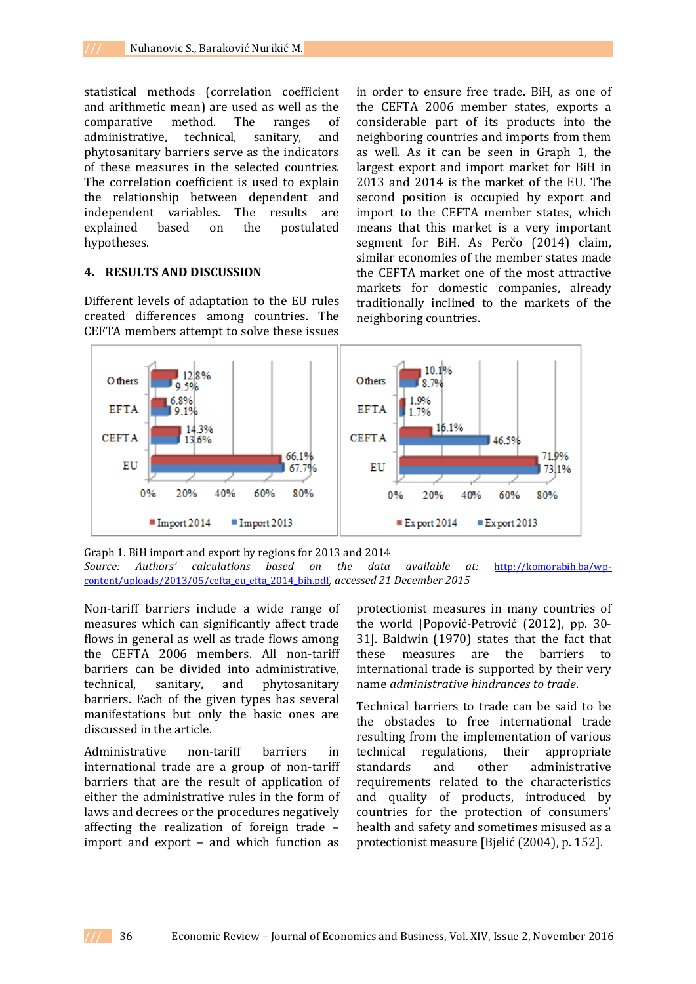statistical methods (correlation coefficient and arithmetic mean) are used as well as the comparative method. The ranges of administrative, technical, sanitary, and phytosanitary barriers serve as the indicators of these measures in the selected countries. The correlation coefficient is used to explain the relationship between dependent and independent variables. The results are explained based on the postulated hypotheses.

### **4. RESULTS AND DISCUSSION**

Different levels of adaptation to the EU rules created differences among countries. The CEFTA members attempt to solve these issues

in order to ensure free trade. BiH, as one of the CEFTA 2006 member states, exports a considerable part of its products into the neighboring countries and imports from them as well. As it can be seen in Graph 1, the largest export and import market for BiH in 2013 and 2014 is the market of the EU. The second position is occupied by export and import to the CEFTA member states, which means that this market is a very important segment for BiH. As Perčo (2014) claim, similar economies of the member states made the CEFTA market one of the most attractive markets for domestic companies, already traditionally inclined to the markets of the neighboring countries.



Graph 1. BiH import and export by regions for 2013 and 2014 *Source: Authors' calculations based on the data available at:* [http://komorabih.ba/wp](http://komorabih.ba/wp-content/uploads/2013/05/cefta_eu_efta_2014_bih.pdf)[content/uploads/2013/05/cefta\\_eu\\_efta\\_2014\\_bih.pdf](http://komorabih.ba/wp-content/uploads/2013/05/cefta_eu_efta_2014_bih.pdf)*, accessed 21 December 2015*

Non-tariff barriers include a wide range of measures which can significantly affect trade flows in general as well as trade flows among the CEFTA 2006 members. All non-tariff barriers can be divided into administrative, technical, sanitary, and phytosanitary barriers. Each of the given types has several manifestations but only the basic ones are discussed in the article.

Administrative non-tariff barriers in international trade are a group of non-tariff barriers that are the result of application of either the administrative rules in the form of laws and decrees or the procedures negatively affecting the realization of foreign trade – import and export – and which function as

protectionist measures in many countries of the world [Popović-Petrović (2012), pp. 30- 31]. Baldwin (1970) states that the fact that these measures are the barriers to international trade is supported by their very name *administrative hindrances to trade*.

Technical barriers to trade can be said to be the obstacles to free international trade resulting from the implementation of various technical regulations, their appropriate standards and other administrative requirements related to the characteristics and quality of products, introduced by countries for the protection of consumers' health and safety and sometimes misused as a protectionist measure [Bjelić (2004), p. 152].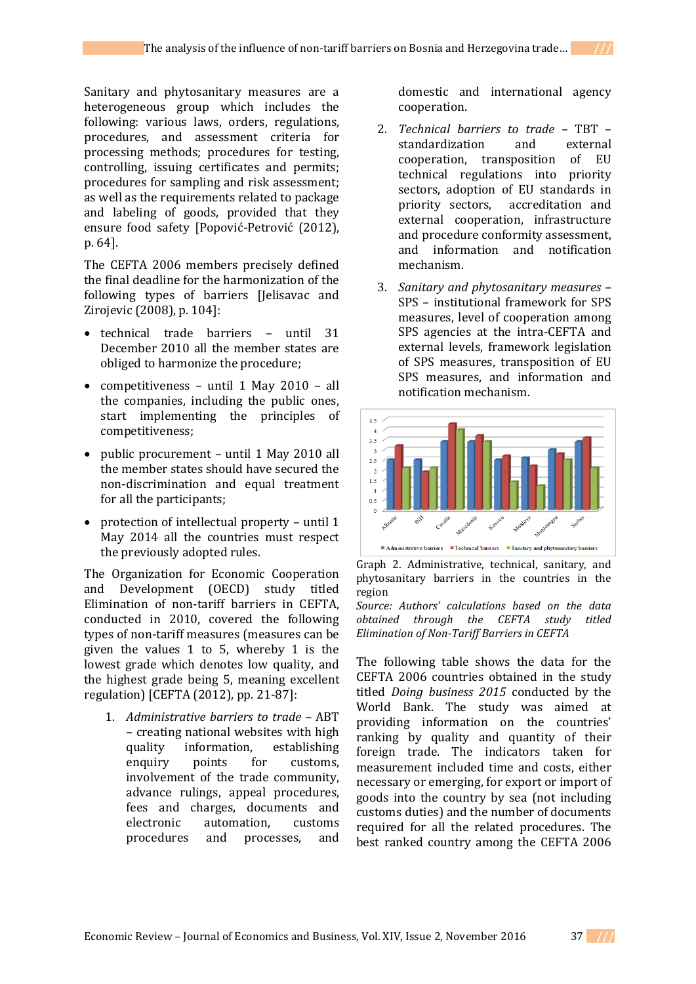Sanitary and phytosanitary measures are a heterogeneous group which includes the following: various laws, orders, regulations, procedures, and assessment criteria for processing methods; procedures for testing, controlling, issuing certificates and permits; procedures for sampling and risk assessment; as well as the requirements related to package and labeling of goods, provided that they ensure food safety [Popović-Petrović (2012), p. 64].

The CEFTA 2006 members precisely defined the final deadline for the harmonization of the following types of barriers [Jelisavac and Zirojevic (2008), p. 104]:

- technical trade barriers until 31 December 2010 all the member states are obliged to harmonize the procedure;
- competitiveness until 1 May 2010 all the companies, including the public ones, start implementing the principles of competitiveness;
- public procurement until 1 May 2010 all the member states should have secured the non-discrimination and equal treatment for all the participants;
- protection of intellectual property until 1 May 2014 all the countries must respect the previously adopted rules.

The Organization for Economic Cooperation and Development (OECD) study titled Elimination of non-tariff barriers in CEFTA, conducted in 2010, covered the following types of non-tariff measures (measures can be given the values 1 to 5, whereby 1 is the lowest grade which denotes low quality, and the highest grade being 5, meaning excellent regulation) [CEFTA (2012), pp. 21-87]:

1. *Administrative barriers to trade –* ABT – creating national websites with high quality information, establishing enquiry points for customs, involvement of the trade community, advance rulings, appeal procedures, fees and charges, documents and electronic automation, customs procedures and processes, and domestic and international agency cooperation.

- 2. *Technical barriers to trade –* TBT standardization and external cooperation, transposition of EU technical regulations into priority sectors, adoption of EU standards in priority sectors, accreditation and external cooperation, infrastructure and procedure conformity assessment, and information and notification mechanism.
- 3. *Sanitary and phytosanitary measures –* SPS – institutional framework for SPS measures, level of cooperation among SPS agencies at the intra-CEFTA and external levels, framework legislation of SPS measures, transposition of EU SPS measures, and information and notification mechanism.



Graph 2. Administrative, technical, sanitary, and phytosanitary barriers in the countries in the region

*Source: Authors' calculations based on the data obtained through the CEFTA study titled Elimination of Non-Tariff Barriers in CEFTA*

The following table shows the data for the CEFTA 2006 countries obtained in the study titled *Doing business 2015* conducted by the World Bank. The study was aimed at providing information on the countries' ranking by quality and quantity of their foreign trade. The indicators taken for measurement included time and costs, either necessary or emerging, for export or import of goods into the country by sea (not including customs duties) and the number of documents required for all the related procedures. The best ranked country among the CEFTA 2006

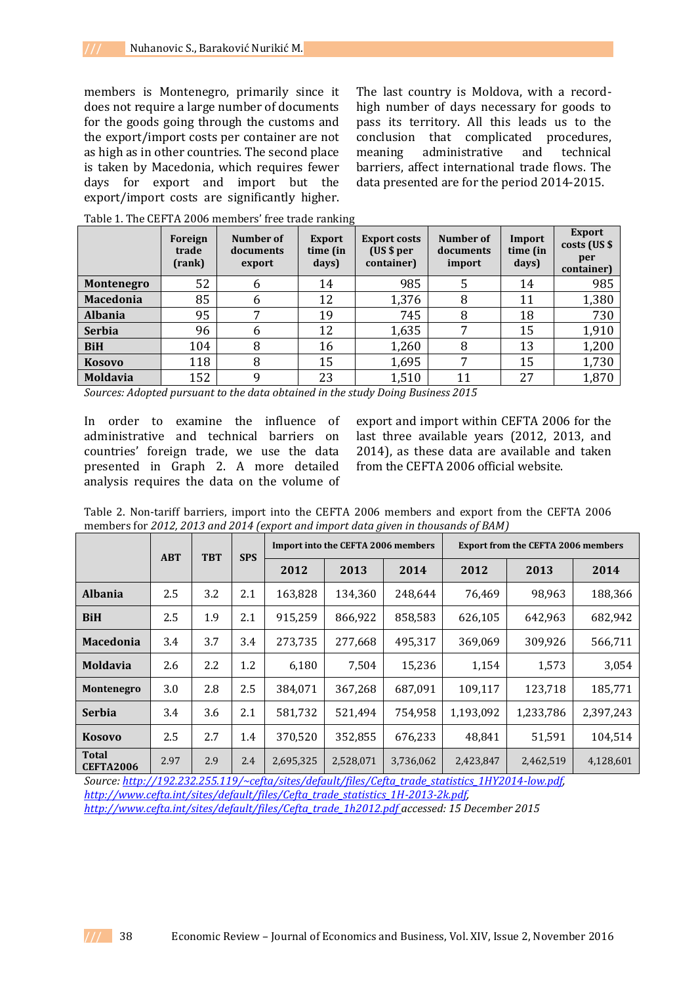members is Montenegro, primarily since it does not require a large number of documents for the goods going through the customs and the export/import costs per container are not as high as in other countries. The second place is taken by Macedonia, which requires fewer days for export and import but the export/import costs are significantly higher.

The last country is Moldova, with a recordhigh number of days necessary for goods to pass its territory. All this leads us to the conclusion that complicated procedures, meaning administrative and technical barriers, affect international trade flows. The data presented are for the period 2014-2015.

|                   | Foreign<br>trade<br>(rank) | Number of<br>documents<br>export | <b>Export</b><br>time (in<br>days) | <b>Export costs</b><br>(US \$ per<br>container) | Number of<br>documents<br>import | Import<br>time (in<br>days) | <b>Export</b><br>costs (US \$<br>per<br>container) |
|-------------------|----------------------------|----------------------------------|------------------------------------|-------------------------------------------------|----------------------------------|-----------------------------|----------------------------------------------------|
| <b>Montenegro</b> | 52                         | 6                                | 14                                 | 985                                             |                                  | 14                          | 985                                                |
| <b>Macedonia</b>  | 85                         | b                                | 12                                 | 1,376                                           | 8                                | 11                          | 1,380                                              |
| <b>Albania</b>    | 95                         | ⇁                                | 19                                 | 745                                             | 8                                | 18                          | 730                                                |
| <b>Serbia</b>     | 96                         | 6                                | 12                                 | 1,635                                           | ⇁                                | 15                          | 1,910                                              |
| <b>BiH</b>        | 104                        | 8                                | 16                                 | 1,260                                           | 8                                | 13                          | 1,200                                              |
| <b>Kosovo</b>     | 118                        | 8                                | 15                                 | 1,695                                           | ⇁                                | 15                          | 1,730                                              |
| <b>Moldavia</b>   | 152                        | 9                                | 23                                 | 1,510                                           | 11                               | 27                          | 1,870                                              |

Table 1. The CEFTA 2006 members' free trade ranking

*Sources: Adopted pursuant to the data obtained in the study Doing Business 2015*

In order to examine the influence of administrative and technical barriers on countries' foreign trade, we use the data presented in Graph 2. A more detailed analysis requires the data on the volume of

export and import within CEFTA 2006 for the last three available years (2012, 2013, and 2014), as these data are available and taken from the CEFTA 2006 official website.

Table 2. Non-tariff barriers, import into the CEFTA 2006 members and export from the CEFTA 2006 members for *2012, 2013 and 2014 (export and import data given in thousands of BAM)*

|                           | <b>ABT</b> | <b>TBT</b> | <b>SPS</b> |           | <b>Import into the CEFTA 2006 members</b> |           | <b>Export from the CEFTA 2006 members</b> |           |           |  |
|---------------------------|------------|------------|------------|-----------|-------------------------------------------|-----------|-------------------------------------------|-----------|-----------|--|
|                           |            |            |            | 2012      | 2013                                      | 2014      | 2012                                      | 2013      | 2014      |  |
| <b>Albania</b>            | 2.5        | 3.2        | 2.1        | 163,828   | 134,360                                   | 248.644   | 76,469                                    | 98.963    | 188,366   |  |
| <b>BiH</b>                | 2.5        | 1.9        | 2.1        | 915,259   | 866,922                                   | 858,583   | 626,105                                   | 642,963   | 682,942   |  |
| <b>Macedonia</b>          | 3.4        | 3.7        | 3.4        | 273,735   | 277,668                                   | 495.317   | 369,069                                   | 309,926   | 566,711   |  |
| <b>Moldavia</b>           | 2.6        | 2.2        | 1.2        | 6,180     | 7,504                                     | 15,236    | 1,154                                     | 1,573     | 3,054     |  |
| <b>Montenegro</b>         | 3.0        | 2.8        | 2.5        | 384,071   | 367,268                                   | 687,091   | 109,117                                   | 123,718   | 185,771   |  |
| <b>Serbia</b>             | 3.4        | 3.6        | 2.1        | 581,732   | 521,494                                   | 754,958   | 1,193,092                                 | 1,233,786 | 2.397.243 |  |
| <b>Kosovo</b>             | 2.5        | 2.7        | 1.4        | 370,520   | 352,855                                   | 676,233   | 48,841                                    | 51,591    | 104,514   |  |
| <b>Total</b><br>CEFTA2006 | 2.97       | 2.9        | 2.4        | 2,695,325 | 2,528,071                                 | 3,736,062 | 2,423,847                                 | 2,462,519 | 4,128,601 |  |

*Source: [http://192.232.255.119/~cefta/sites/default/files/Cefta\\_trade\\_statistics\\_1HY2014-low.pdf,](http://192.232.255.119/~cefta/sites/default/files/Cefta_trade_statistics_1HY2014-low.pdf)  [http://www.cefta.int/sites/default/files/Cefta\\_trade\\_statistics\\_1H-2013-2k.pdf,](http://www.cefta.int/sites/default/files/Cefta_trade_statistics_1H-2013-2k.pdf) [http://www.cefta.int/sites/default/files/Cefta\\_trade\\_1h2012.pdf](http://www.cefta.int/sites/default/files/Cefta_trade_1h2012.pdf) accessed: 15 December 2015*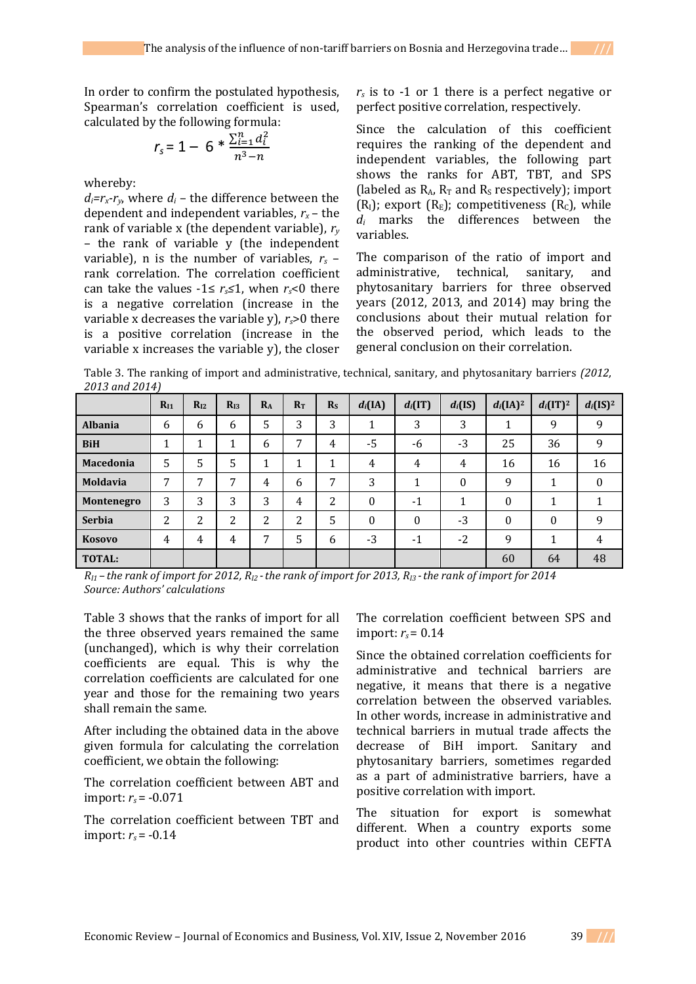In order to confirm the postulated hypothesis, Spearman's correlation coefficient is used, calculated by the following formula:

$$
r_s = 1 - 6 * \frac{\sum_{i=1}^{n} d_i^2}{n^3 - n}
$$

whereby:

 $d_i = r_x - r_y$ , where  $d_i$  – the difference between the dependent and independent variables,  $r_x$  – the rank of variable x (the dependent variable), *r<sup>y</sup>* – the rank of variable y (the independent variable), n is the number of variables,  $r_s$  – rank correlation. The correlation coefficient can take the values  $-1 \le r_s \le 1$ , when  $r_s < 0$  there is a negative correlation (increase in the variable x decreases the variable y), *rs*>0 there is a positive correlation (increase in the variable x increases the variable y), the closer

 $r<sub>s</sub>$  is to -1 or 1 there is a perfect negative or perfect positive correlation, respectively.

Since the calculation of this coefficient requires the ranking of the dependent and independent variables, the following part shows the ranks for ABT, TBT, and SPS (labeled as  $R_A$ ,  $R_T$  and  $R_S$  respectively); import  $(R<sub>I</sub>)$ ; export  $(R<sub>E</sub>)$ ; competitiveness  $(R<sub>C</sub>)$ , while *d<sup>i</sup>* marks the differences between the variables.

The comparison of the ratio of import and administrative, technical, sanitary, and phytosanitary barriers for three observed years (2012, 2013, and 2014) may bring the conclusions about their mutual relation for the observed period, which leads to the general conclusion on their correlation.

Table 3. The ranking of import and administrative, technical, sanitary, and phytosanitary barriers *(2012, 2013 and 2014)*

|                 | $R_{I1}$ | $R_{I2}$            | $R_{I3}$ | $R_{A}$ | $R_{\rm T}$ | R <sub>S</sub> | $d_i$ (IA)       | $d_i(IT)$ | $d_i(IS)$ | $d_i[IA]^2$ | $d_i(\text{IT})^2$ | $d_i$ (IS) <sup>2</sup> |
|-----------------|----------|---------------------|----------|---------|-------------|----------------|------------------|-----------|-----------|-------------|--------------------|-------------------------|
| <b>Albania</b>  | 6        | 6                   | 6        | 5       | 3           | 3              | 1                | 3         | 3         |             | 9                  | 9                       |
| <b>BiH</b>      | 1        | 1                   |          | 6       | 7           | 4              | -5               | -6        | $-3$      | 25          | 36                 | 9                       |
| Macedonia       | 5        | 5                   | 5        |         | ┻           |                | 4                | 4         | 4         | 16          | 16                 | 16                      |
| <b>Moldavia</b> | 7        | 7                   | 7        | 4       | 6           | 7              | 3                |           | $\Omega$  | 9           | 1<br>$\mathbf{I}$  | $\mathbf{0}$            |
| Montenegro      | 3        | 3                   | 3        | 3       | 4           | 2              | $\boldsymbol{0}$ | $-1$      |           | 0           |                    |                         |
| <b>Serbia</b>   | 2        | າ<br>$\overline{a}$ | າ<br>∠   | າ<br>4  | 2           | 5              | $\theta$         | $\theta$  | $-3$      | $\theta$    | $\theta$           | 9                       |
| <b>Kosovo</b>   | 4        | 4                   | 4        | 7       | 5           | 6              | $-3$             | $-1$      | $-2$      | 9           | 1<br>л.            | 4                       |
| <b>TOTAL:</b>   |          |                     |          |         |             |                |                  |           |           | 60          | 64                 | 48                      |

*RI1 – the rank of import for 2012, RI2 -the rank of import for 2013, RI3 -the rank of import for 2014 Source: Authors' calculations*

Table 3 shows that the ranks of import for all the three observed years remained the same (unchanged), which is why their correlation coefficients are equal. This is why the correlation coefficients are calculated for one year and those for the remaining two years shall remain the same.

After including the obtained data in the above given formula for calculating the correlation coefficient, we obtain the following:

The correlation coefficient between ABT and import: *rs* = -0.071

The correlation coefficient between TBT and import: *rs* = -0.14

The correlation coefficient between SPS and import:  $r_s = 0.14$ 

Since the obtained correlation coefficients for administrative and technical barriers are negative, it means that there is a negative correlation between the observed variables. In other words, increase in administrative and technical barriers in mutual trade affects the decrease of BiH import. Sanitary and phytosanitary barriers, sometimes regarded as a part of administrative barriers, have a positive correlation with import.

The situation for export is somewhat different. When a country exports some product into other countries within CEFTA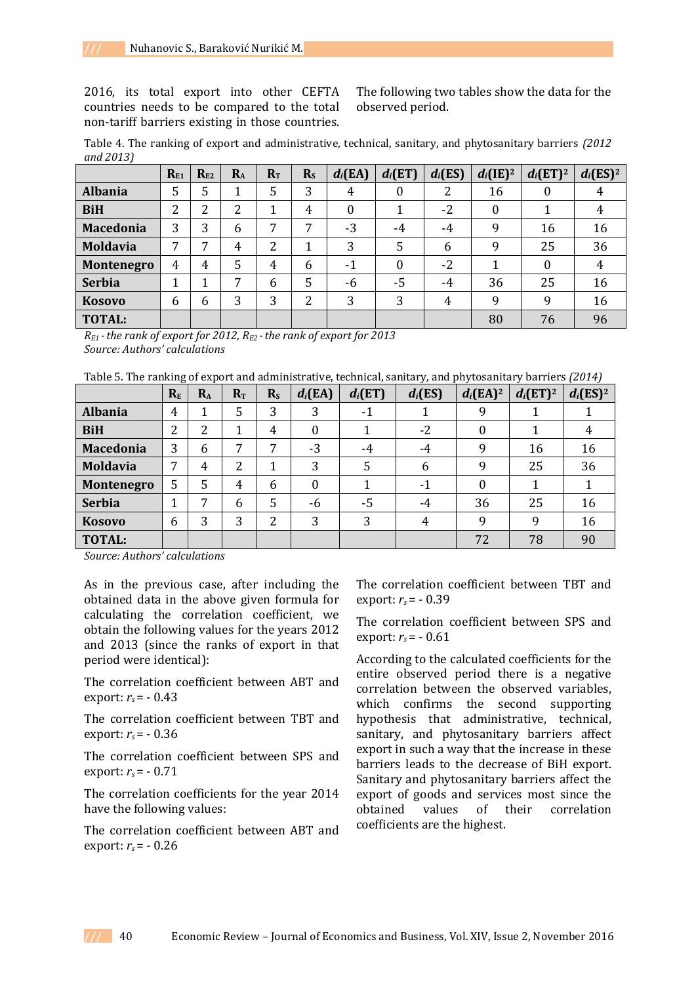2016, its total export into other CEFTA countries needs to be compared to the total non-tariff barriers existing in those countries.

The following two tables show the data for the observed period.

Table 4. The ranking of export and administrative, technical, sanitary, and phytosanitary barriers *(2012 and 2013)*

|                  | $R_{E1}$ | $R_{E2}$ | $R_{A}$ | $R_T$ | $R_{S}$ | $d_i$ (EA) | $d_i(ET)$        | $d_i$ (ES) | $d_i(\mathrm{IE})^2$ | $d_i$ (ET) <sup>2</sup> | $d_i$ (ES) <sup>2</sup> |
|------------------|----------|----------|---------|-------|---------|------------|------------------|------------|----------------------|-------------------------|-------------------------|
| <b>Albania</b>   | 5        | 5        |         | 5     | 3       | 4          | $\boldsymbol{0}$ | 2          | 16                   | $\overline{0}$          |                         |
| <b>BiH</b>       | 2        | 2        | 2       |       | 4       | 0          |                  | $-2$       | $\Omega$             |                         |                         |
| <b>Macedonia</b> | 3        | 3        | 6       | 7     | 7       | $-3$       | $-4$             | -4         | 9                    | 16                      | 16                      |
| <b>Moldavia</b>  | 7        | 7        | 4       | 2     | 1       | 3          | 5                | 6          | 9                    | 25                      | 36                      |
| Montenegro       | 4        | 4        | 5       | 4     | 6       | $-1$       | $\theta$         | $-2$       |                      | $\boldsymbol{0}$        | 4                       |
| <b>Serbia</b>    | 1        | 1        | 7       | 6     | 5       | -6         | $-5$             | -4         | 36                   | 25                      | 16                      |
| <b>Kosovo</b>    | 6        | 6        | 3       | 3     | 2       | 3          | 3                | 4          | 9                    | 9                       | 16                      |
| <b>TOTAL:</b>    |          |          |         |       |         |            |                  |            | 80                   | 76                      | 96                      |

*RE1 -the rank of export for 2012, RE2 -the rank of export for 2013 Source: Authors' calculations*

Table 5. The ranking of export and administrative, technical, sanitary, and phytosanitary barriers *(2014)*

|                  | $R_{E}$ | $R_{A}$ | $R_T$ | R <sub>S</sub> | $d_i$ (EA)     | $d_i(\text{ET})$ | $d_i$ (ES)     | $d_i$ (EA) <sup>2</sup> | $d_i$ (ET) <sup>2</sup> | $d_i$ (ES) <sup>2</sup> |
|------------------|---------|---------|-------|----------------|----------------|------------------|----------------|-------------------------|-------------------------|-------------------------|
| <b>Albania</b>   | 4       | 1       | 5     | 3              | 3              | $-1$             |                | 9                       |                         |                         |
| <b>BiH</b>       | າ<br>∠  | 2       | 1     | 4              | 0              |                  | -2             | $\boldsymbol{0}$        |                         |                         |
| <b>Macedonia</b> | 3       | 6       | 7     | ⇁              | $-3$           | $-4$             | -4             | 9                       | 16                      | 16                      |
| <b>Moldavia</b>  | 7       | 4       | 2     |                | 3              | 5                | 6              | 9                       | 25                      | 36                      |
| Montenegro       | 5       | 5       | 4     | 6              | $\overline{0}$ |                  | $-1$           | $\boldsymbol{0}$        |                         |                         |
| <b>Serbia</b>    | 1       | 7       | 6     | 5              | $-6$           | $-5$             | -4             | 36                      | 25                      | 16                      |
| <b>Kosovo</b>    | 6       | 3       | 3     | 2              | 3              | 3                | $\overline{4}$ | 9                       | 9                       | 16                      |
| <b>TOTAL:</b>    |         |         |       |                |                |                  |                | 72                      | 78                      | 90                      |

*Source: Authors' calculations*

As in the previous case, after including the obtained data in the above given formula for calculating the correlation coefficient, we obtain the following values for the years 2012 and 2013 (since the ranks of export in that period were identical):

The correlation coefficient between ABT and export: *rs* = - 0.43

The correlation coefficient between TBT and export: *rs* = - 0.36

The correlation coefficient between SPS and export: *rs* = - 0.71

The correlation coefficients for the year 2014 have the following values:

The correlation coefficient between ABT and export:  $r_{s}$  = - 0.26

The correlation coefficient between TBT and export: *rs* = - 0.39

The correlation coefficient between SPS and export:  $r_s$  =  $-$  0.61

According to the calculated coefficients for the entire observed period there is a negative correlation between the observed variables, which confirms the second supporting hypothesis that administrative, technical, sanitary, and phytosanitary barriers affect export in such a way that the increase in these barriers leads to the decrease of BiH export. Sanitary and phytosanitary barriers affect the export of goods and services most since the obtained values of their correlation coefficients are the highest.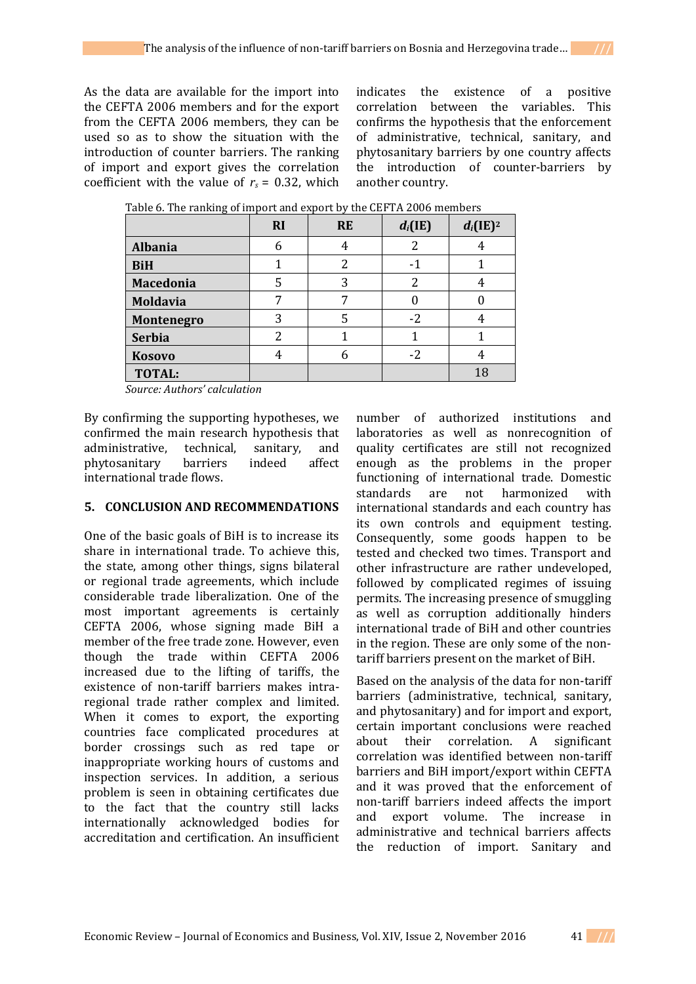As the data are available for the import into the CEFTA 2006 members and for the export from the CEFTA 2006 members, they can be used so as to show the situation with the introduction of counter barriers. The ranking of import and export gives the correlation coefficient with the value of  $r_s = 0.32$ , which

indicates the existence of a positive correlation between the variables. This confirms the hypothesis that the enforcement of administrative, technical, sanitary, and phytosanitary barriers by one country affects the introduction of counter-barriers by another country.

|                  | <b>RI</b> | <b>RE</b> | $d_i(IE)$ | $d_i(\mathrm{IE})^2$ |
|------------------|-----------|-----------|-----------|----------------------|
| <b>Albania</b>   |           | 4         | າ         |                      |
| <b>BiH</b>       |           |           |           |                      |
| <b>Macedonia</b> | 5         | 3         | າ         |                      |
| <b>Moldavia</b>  |           |           |           |                      |
| Montenegro       | 3         |           | $-2$      |                      |
| <b>Serbia</b>    | າ         |           |           |                      |
| <b>Kosovo</b>    |           |           | $-2$      | 4                    |
| <b>TOTAL:</b>    |           |           |           | 18                   |

Table 6. The ranking of import and export by the CEFTA 2006 members

*Source: Authors' calculation*

By confirming the supporting hypotheses, we confirmed the main research hypothesis that administrative, technical, sanitary, and phytosanitary barriers indeed affect international trade flows.

# **5. CONCLUSION AND RECOMMENDATIONS**

One of the basic goals of BiH is to increase its share in international trade. To achieve this, the state, among other things, signs bilateral or regional trade agreements, which include considerable trade liberalization. One of the most important agreements is certainly CEFTA 2006, whose signing made BiH a member of the free trade zone. However, even though the trade within CEFTA 2006 increased due to the lifting of tariffs, the existence of non-tariff barriers makes intraregional trade rather complex and limited. When it comes to export, the exporting countries face complicated procedures at border crossings such as red tape or inappropriate working hours of customs and inspection services. In addition, a serious problem is seen in obtaining certificates due to the fact that the country still lacks internationally acknowledged bodies for accreditation and certification. An insufficient number of authorized institutions and laboratories as well as nonrecognition of quality certificates are still not recognized enough as the problems in the proper functioning of international trade. Domestic standards are not harmonized with international standards and each country has its own controls and equipment testing. Consequently, some goods happen to be tested and checked two times. Transport and other infrastructure are rather undeveloped, followed by complicated regimes of issuing permits. The increasing presence of smuggling as well as corruption additionally hinders international trade of BiH and other countries in the region. These are only some of the nontariff barriers present on the market of BiH.

Based on the analysis of the data for non-tariff barriers (administrative, technical, sanitary, and phytosanitary) and for import and export, certain important conclusions were reached about their correlation. A significant correlation was identified between non-tariff barriers and BiH import/export within CEFTA and it was proved that the enforcement of non-tariff barriers indeed affects the import and export volume. The increase in administrative and technical barriers affects the reduction of import. Sanitary and

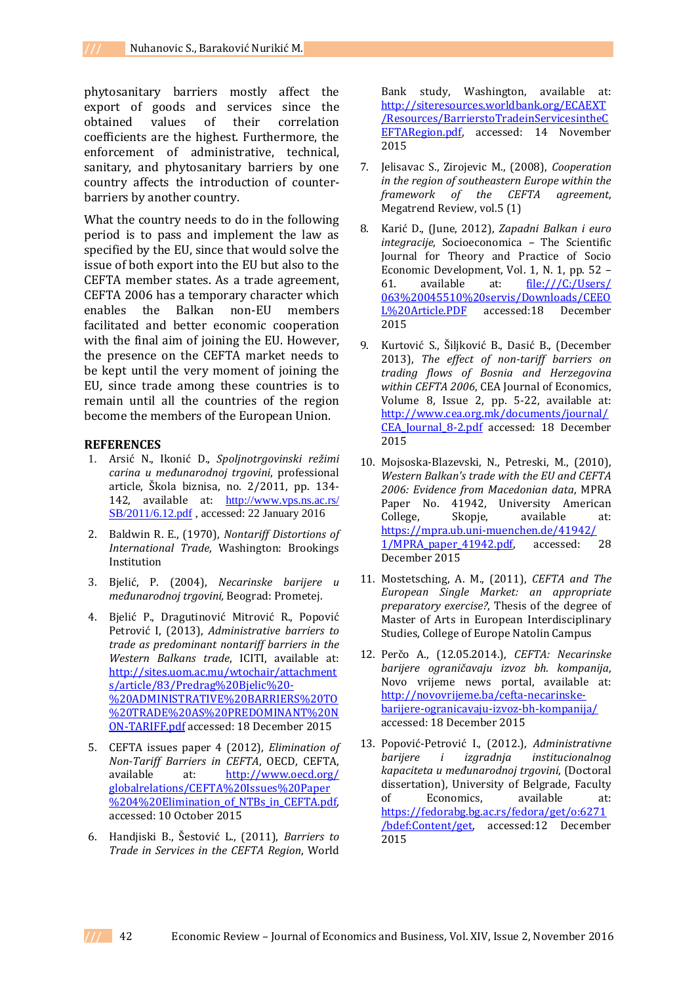phytosanitary barriers mostly affect the export of goods and services since the obtained values of their correlation coefficients are the highest. Furthermore, the enforcement of administrative, technical, sanitary, and phytosanitary barriers by one country affects the introduction of counterbarriers by another country.

What the country needs to do in the following period is to pass and implement the law as specified by the EU, since that would solve the issue of both export into the EU but also to the CEFTA member states. As a trade agreement, CEFTA 2006 has a temporary character which enables the Balkan non-EU members facilitated and better economic cooperation with the final aim of joining the EU. However, the presence on the CEFTA market needs to be kept until the very moment of joining the EU, since trade among these countries is to remain until all the countries of the region become the members of the European Union.

#### **REFERENCES**

- 1. Arsić N., Ikonić D., *Spoljnotrgovinski režimi carina u međunarodnoj trgovini*, professional article, Škola biznisa, no. 2/2011, pp. 134- 142, available at: [http://www.vps.ns.ac.rs/](http://www.vps.ns.ac.rs/%20SB/2011/6.12.pdf)  [SB/2011/6.12.pdf](http://www.vps.ns.ac.rs/%20SB/2011/6.12.pdf) , accessed: 22 January 2016
- 2. Baldwin R. E., (1970), *Nontariff Distortions of International Trade*, Washington: Brookings Institution
- 3. Bjelić, P. (2004), *Necarinske barijere u međunarodnoj trgovini,* Beograd: Prometej.
- 4. Bjelić P., Dragutinović Mitrović R., Popović Petrović I, (2013), *Administrative barriers to trade as predominant nontariff barriers in the Western Balkans trade*, ICITI, available at: [http://sites.uom.ac.mu/wtochair/attachment](http://sites.uom.ac.mu/wtochair/attachments/article/83/Predrag%20Bjelic%20-%20ADMINISTRATIVE%20BARRIERS%20TO%20TRADE%20AS%20PREDOMINANT%20NON-TARIFF.pdf) [s/article/83/Predrag%20Bjelic%20-](http://sites.uom.ac.mu/wtochair/attachments/article/83/Predrag%20Bjelic%20-%20ADMINISTRATIVE%20BARRIERS%20TO%20TRADE%20AS%20PREDOMINANT%20NON-TARIFF.pdf) [%20ADMINISTRATIVE%20BARRIERS%20TO](http://sites.uom.ac.mu/wtochair/attachments/article/83/Predrag%20Bjelic%20-%20ADMINISTRATIVE%20BARRIERS%20TO%20TRADE%20AS%20PREDOMINANT%20NON-TARIFF.pdf) [%20TRADE%20AS%20PREDOMINANT%20N](http://sites.uom.ac.mu/wtochair/attachments/article/83/Predrag%20Bjelic%20-%20ADMINISTRATIVE%20BARRIERS%20TO%20TRADE%20AS%20PREDOMINANT%20NON-TARIFF.pdf) [ON-TARIFF.pdf](http://sites.uom.ac.mu/wtochair/attachments/article/83/Predrag%20Bjelic%20-%20ADMINISTRATIVE%20BARRIERS%20TO%20TRADE%20AS%20PREDOMINANT%20NON-TARIFF.pdf) accessed: 18 December 2015
- 5. CEFTA issues paper 4 (2012), *Elimination of Non-Tariff Barriers in CEFTA*, OECD, CEFTA, available at: [http://www.oecd.org/](http://www.oecd.org/%20globalrelations/CEFTA%20Issues%20Paper%204%20Elimination_of_NTBs_in_CEFTA.pdf)  [globalrelations/CEFTA%20Issues%20Paper](http://www.oecd.org/%20globalrelations/CEFTA%20Issues%20Paper%204%20Elimination_of_NTBs_in_CEFTA.pdf) %204%20Elimination\_of\_NTBs\_in\_CEFTA.pdf, accessed: 10 October 2015
- 6. Handjiski B., Šestović L., (2011), *Barriers to Trade in Services in the CEFTA Region*, World

Bank study, Washington, available at: [http://siteresources.worldbank.org/ECAEXT](http://siteresources.worldbank.org/ECAEXT/Resources/BarrierstoTradeinServicesintheCEFTARegion.pdf) [/Resources/BarrierstoTradeinServicesintheC](http://siteresources.worldbank.org/ECAEXT/Resources/BarrierstoTradeinServicesintheCEFTARegion.pdf) [EFTARegion.pdf,](http://siteresources.worldbank.org/ECAEXT/Resources/BarrierstoTradeinServicesintheCEFTARegion.pdf) accessed: 14 November 2015

- 7. Jelisavac S., Zirojevic M., (2008), *Cooperation in the region of southeastern Europe within the framework of the CEFTA agreement*, Megatrend Review, vol.5 (1)
- 8. Karić D., (June, 2012), *Zapadni Balkan i euro integracije*, Socioeconomica – The Scientific Journal for Theory and Practice of Socio Economic Development, Vol. 1, N. 1, pp. 52 – 61. available at: [file:///C:/Users/](file:///C:/Users/%20063%20045510%20servis/Downloads/CEEOL%20Article.PDF)  [063%20045510%20servis/Downloads/CEEO](file:///C:/Users/%20063%20045510%20servis/Downloads/CEEOL%20Article.PDF) [L%20Article.PDF](file:///C:/Users/%20063%20045510%20servis/Downloads/CEEOL%20Article.PDF) accessed:18 December 2015
- 9. Kurtović S., Šiljković B., Dasić B., (December 2013), *The effect of non-tariff barriers on trading flows of Bosnia and Herzegovina within CEFTA 2006*, CEA Journal of Economics, Volume 8, Issue 2, pp. 5-22, available at: [http://www.cea.org.mk/documents/journal/](http://www.cea.org.mk/documents/journal/CEA_Journal_8-2.pdf) CEA Journal 8-2.pdf accessed: 18 December 2015
- 10. Mojsoska-Blazevski, N., Petreski, M., (2010), *Western Balkan's trade with the EU and CEFTA 2006: Evidence from Macedonian data*, MPRA Paper No. 41942, University American College, Skopje, available at: [https://mpra.ub.uni-muenchen.de/41942/](https://mpra.ub.uni-muenchen.de/41942/%201/MPRA_paper_41942.pdf)  [1/MPRA\\_paper\\_41942.pdf,](https://mpra.ub.uni-muenchen.de/41942/%201/MPRA_paper_41942.pdf) accessed: 28 December 2015
- 11. Mostetsching, A. M., (2011), *CEFTA and The European Single Market: an appropriate preparatory exercise?*, Thesis of the degree of Master of Arts in European Interdisciplinary Studies, College of Europe Natolin Campus
- 12. Perčo A., (12.05.2014.), *CEFTA: Necarinske barijere ograničavaju izvoz bh. kompanija*, Novo vrijeme news portal, available at: [http://novovrijeme.ba/cefta-necarinske](http://novovrijeme.ba/cefta-necarinske-barijere-ogranicavaju-izvoz-bh-kompanija/)[barijere-ogranicavaju-izvoz-bh-kompanija/](http://novovrijeme.ba/cefta-necarinske-barijere-ogranicavaju-izvoz-bh-kompanija/) accessed: 18 December 2015
- 13. Popović-Petrović I., (2012.), *Administrativne barijere i izgradnja institucionalnog kapaciteta u međunarodnoj trgovini*, (Doctoral dissertation), University of Belgrade, Faculty of Economics, available at: [https://fedorabg.bg.ac.rs/fedora/get/o:6271](https://fedorabg.bg.ac.rs/fedora/get/o:6271/bdef:Content/get) [/bdef:Content/get,](https://fedorabg.bg.ac.rs/fedora/get/o:6271/bdef:Content/get) accessed:12 December 2015